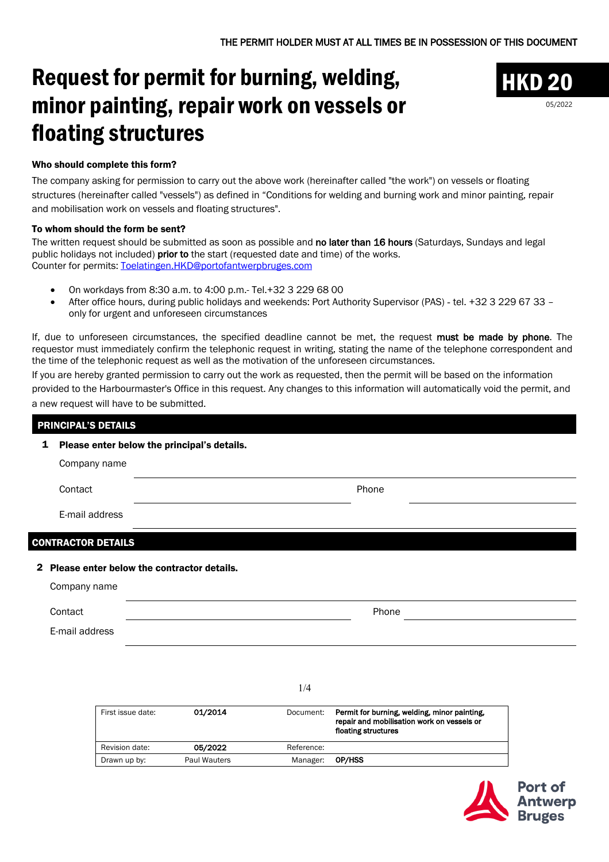## Request for permit for burning, welding, minor painting, repair work on vessels or floating structures



05/2022

## Who should complete this form?

The company asking for permission to carry out the above work (hereinafter called "the work") on vessels or floating structures (hereinafter called "vessels") as defined in "Conditions for welding and burning work and minor painting, repair and mobilisation work on vessels and floating structures".

## To whom should the form be sent?

The written request should be submitted as soon as possible and no later than 16 hours (Saturdays, Sundays and legal public holidays not included) prior to the start (requested date and time) of the works. Counter for permits: Toelatingen.HKD@portofantwerpbruges.com

- On workdays from 8:30 a.m. to 4:00 p.m.- Tel.+32 3 229 68 00
- After office hours, during public holidays and weekends: Port Authority Supervisor (PAS) tel. +32 3 229 67 33 only for urgent and unforeseen circumstances

If, due to unforeseen circumstances, the specified deadline cannot be met, the request must be made by phone. The requestor must immediately confirm the telephonic request in writing, stating the name of the telephone correspondent and the time of the telephonic request as well as the motivation of the unforeseen circumstances.

If you are hereby granted permission to carry out the work as requested, then the permit will be based on the information provided to the Harbourmaster's Office in this request. Any changes to this information will automatically void the permit, and a new request will have to be submitted.

| 1            | Please enter below the principal's details. |                                            |         |           |                                                                                            |  |
|--------------|---------------------------------------------|--------------------------------------------|---------|-----------|--------------------------------------------------------------------------------------------|--|
|              | Company name                                |                                            |         |           |                                                                                            |  |
|              | Contact                                     |                                            |         |           | Phone                                                                                      |  |
|              | E-mail address                              |                                            |         |           |                                                                                            |  |
|              | <b>CONTRACTOR DETAILS</b>                   |                                            |         |           |                                                                                            |  |
| $\mathbf{2}$ |                                             | Please enter below the contractor details. |         |           |                                                                                            |  |
|              | Company name                                |                                            |         |           |                                                                                            |  |
|              | Contact                                     |                                            |         |           | Phone                                                                                      |  |
|              | E-mail address                              |                                            |         |           |                                                                                            |  |
|              |                                             |                                            |         |           |                                                                                            |  |
|              |                                             |                                            |         | 1/4       |                                                                                            |  |
|              |                                             | First issue date:                          | 01/2014 | Document: | Permit for burning, welding, minor painting,<br>repair and mobilisation work on vessels or |  |

|                |              |            | floating structures |
|----------------|--------------|------------|---------------------|
| Revision date: | 05/2022      | Reference: |                     |
| Drawn up by:   | Paul Wauters | Manager:   | OP/HSS              |
|                |              |            |                     |

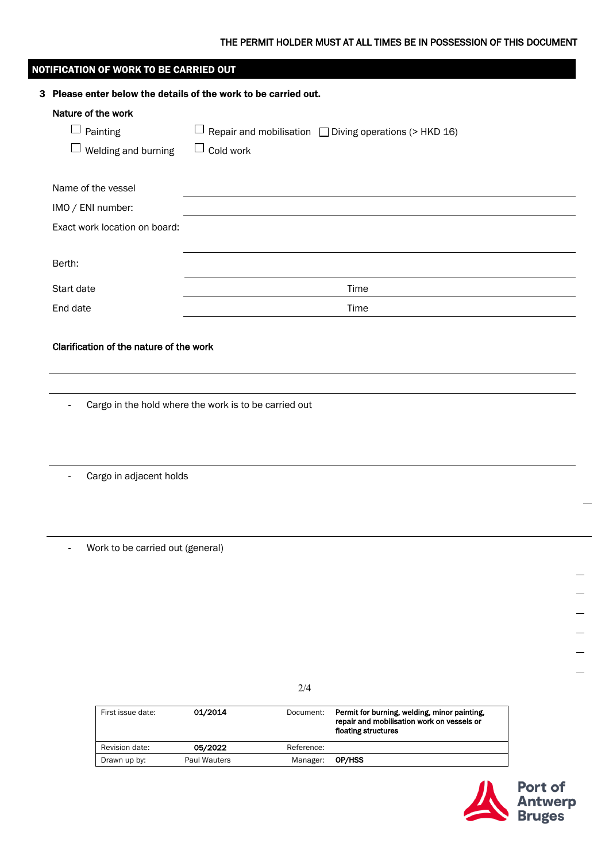## THE PERMIT HOLDER MUST AT ALL TIMES BE IN POSSESSION OF THIS DOCUMENT

| NOTIFICATION OF WORK TO BE CARRIED OUT |                                                                 |                  |            |                                                                                            |                                       |  |  |
|----------------------------------------|-----------------------------------------------------------------|------------------|------------|--------------------------------------------------------------------------------------------|---------------------------------------|--|--|
|                                        | 3 Please enter below the details of the work to be carried out. |                  |            |                                                                                            |                                       |  |  |
|                                        | Nature of the work                                              |                  |            |                                                                                            |                                       |  |  |
|                                        | $\Box$ Painting                                                 |                  |            | $\Box$ Repair and mobilisation $\Box$ Diving operations (> HKD 16)                         |                                       |  |  |
|                                        | $\Box$ Welding and burning                                      | $\Box$ Cold work |            |                                                                                            |                                       |  |  |
|                                        |                                                                 |                  |            |                                                                                            |                                       |  |  |
|                                        | Name of the vessel                                              |                  |            |                                                                                            |                                       |  |  |
|                                        | IMO / ENI number:                                               |                  |            |                                                                                            |                                       |  |  |
|                                        | Exact work location on board:                                   |                  |            |                                                                                            |                                       |  |  |
|                                        |                                                                 |                  |            |                                                                                            |                                       |  |  |
| Berth:                                 |                                                                 |                  |            |                                                                                            |                                       |  |  |
|                                        | Start date                                                      | Time             |            |                                                                                            |                                       |  |  |
| End date                               |                                                                 |                  |            | Time                                                                                       |                                       |  |  |
|                                        |                                                                 |                  |            |                                                                                            |                                       |  |  |
|                                        | Clarification of the nature of the work                         |                  |            |                                                                                            |                                       |  |  |
|                                        |                                                                 |                  |            |                                                                                            |                                       |  |  |
|                                        |                                                                 |                  |            |                                                                                            |                                       |  |  |
|                                        |                                                                 |                  |            |                                                                                            |                                       |  |  |
| $\blacksquare$                         | Cargo in the hold where the work is to be carried out           |                  |            |                                                                                            |                                       |  |  |
|                                        |                                                                 |                  |            |                                                                                            |                                       |  |  |
|                                        |                                                                 |                  |            |                                                                                            |                                       |  |  |
|                                        |                                                                 |                  |            |                                                                                            |                                       |  |  |
|                                        | Cargo in adjacent holds                                         |                  |            |                                                                                            |                                       |  |  |
|                                        |                                                                 |                  |            |                                                                                            |                                       |  |  |
|                                        |                                                                 |                  |            |                                                                                            |                                       |  |  |
|                                        |                                                                 |                  |            |                                                                                            |                                       |  |  |
| $\blacksquare$                         | Work to be carried out (general)                                |                  |            |                                                                                            |                                       |  |  |
|                                        |                                                                 |                  |            |                                                                                            |                                       |  |  |
|                                        |                                                                 |                  |            |                                                                                            |                                       |  |  |
|                                        |                                                                 |                  |            |                                                                                            |                                       |  |  |
|                                        |                                                                 |                  |            |                                                                                            |                                       |  |  |
|                                        |                                                                 |                  |            |                                                                                            |                                       |  |  |
|                                        |                                                                 |                  |            |                                                                                            |                                       |  |  |
|                                        |                                                                 |                  | 2/4        |                                                                                            |                                       |  |  |
|                                        |                                                                 |                  |            |                                                                                            |                                       |  |  |
|                                        | First issue date:                                               | 01/2014          | Document:  | Permit for burning, welding, minor painting,<br>repair and mobilisation work on vessels or |                                       |  |  |
|                                        |                                                                 |                  |            | floating structures                                                                        |                                       |  |  |
|                                        | Revision date:                                                  | 05/2022          | Reference: |                                                                                            |                                       |  |  |
|                                        | Drawn up by:                                                    | Paul Wauters     | Manager:   | OP/HSS                                                                                     |                                       |  |  |
|                                        |                                                                 |                  |            |                                                                                            |                                       |  |  |
|                                        |                                                                 |                  |            |                                                                                            | <b>Port of<br/>Antwerp<br/>Bruges</b> |  |  |
|                                        |                                                                 |                  |            |                                                                                            |                                       |  |  |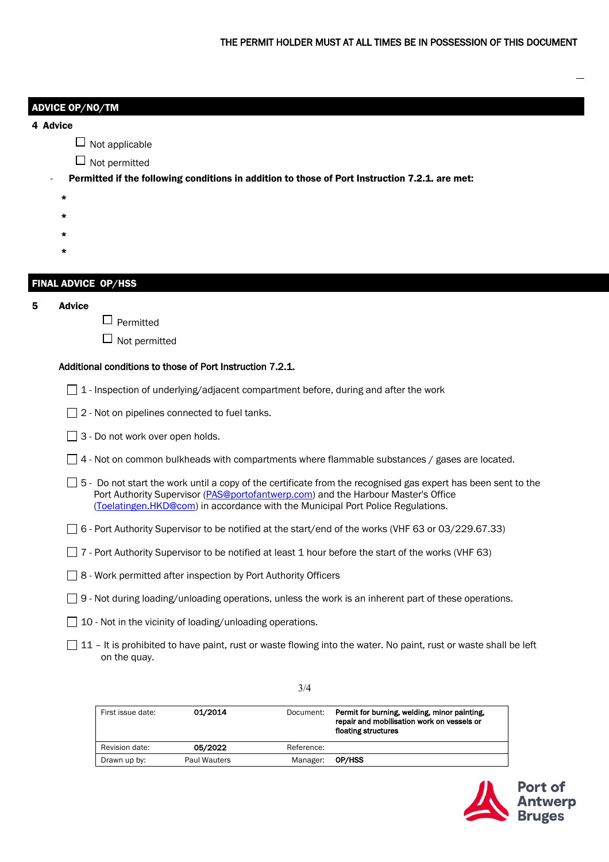|          | <b>ADVICE OP/NO/TM</b>                                                                                                                                                                                                                                                                       |  |  |  |  |  |
|----------|----------------------------------------------------------------------------------------------------------------------------------------------------------------------------------------------------------------------------------------------------------------------------------------------|--|--|--|--|--|
| 4 Advice |                                                                                                                                                                                                                                                                                              |  |  |  |  |  |
|          | Not applicable                                                                                                                                                                                                                                                                               |  |  |  |  |  |
|          | $\Box$ Not permitted                                                                                                                                                                                                                                                                         |  |  |  |  |  |
|          | Permitted if the following conditions in addition to those of Port Instruction 7.2.1. are met:                                                                                                                                                                                               |  |  |  |  |  |
|          | *                                                                                                                                                                                                                                                                                            |  |  |  |  |  |
|          | *                                                                                                                                                                                                                                                                                            |  |  |  |  |  |
|          | *<br>*                                                                                                                                                                                                                                                                                       |  |  |  |  |  |
|          |                                                                                                                                                                                                                                                                                              |  |  |  |  |  |
|          | <b>FINAL ADVICE OP/HSS</b>                                                                                                                                                                                                                                                                   |  |  |  |  |  |
| 5        | <b>Advice</b>                                                                                                                                                                                                                                                                                |  |  |  |  |  |
|          | Permitted                                                                                                                                                                                                                                                                                    |  |  |  |  |  |
|          | Not permitted                                                                                                                                                                                                                                                                                |  |  |  |  |  |
|          | Additional conditions to those of Port Instruction 7.2.1.                                                                                                                                                                                                                                    |  |  |  |  |  |
|          | $\Box$ 1 - Inspection of underlying/adjacent compartment before, during and after the work                                                                                                                                                                                                   |  |  |  |  |  |
|          | 2 - Not on pipelines connected to fuel tanks.                                                                                                                                                                                                                                                |  |  |  |  |  |
|          | 3 - Do not work over open holds.                                                                                                                                                                                                                                                             |  |  |  |  |  |
|          | $\Box$ 4 - Not on common bulkheads with compartments where flammable substances / gases are located.                                                                                                                                                                                         |  |  |  |  |  |
|          | $\Box$ 5 - Do not start the work until a copy of the certificate from the recognised gas expert has been sent to the<br>Port Authority Supervisor (PAS@portofantwerp.com) and the Harbour Master's Office<br>(Toelatingen.HKD@com) in accordance with the Municipal Port Police Regulations. |  |  |  |  |  |
|          | □ 6 - Port Authority Supervisor to be notified at the start/end of the works (VHF 63 or 03/229.67.33)                                                                                                                                                                                        |  |  |  |  |  |
|          | [17 - Port Authority Supervisor to be notified at least 1 hour before the start of the works (VHF 63)                                                                                                                                                                                        |  |  |  |  |  |
|          | □ 8 - Work permitted after inspection by Port Authority Officers                                                                                                                                                                                                                             |  |  |  |  |  |
|          | □ 9 - Not during loading/unloading operations, unless the work is an inherent part of these operations.                                                                                                                                                                                      |  |  |  |  |  |
|          | 10 - Not in the vicinity of loading/unloading operations.                                                                                                                                                                                                                                    |  |  |  |  |  |
|          | 11 - It is prohibited to have paint, rust or waste flowing into the water. No paint, rust or waste shall be left<br>on the quay.                                                                                                                                                             |  |  |  |  |  |
|          | 3/4                                                                                                                                                                                                                                                                                          |  |  |  |  |  |
|          | 01/2014<br>First issue date:<br>Permit for burning, welding, minor painting,<br>Document:                                                                                                                                                                                                    |  |  |  |  |  |

|                |              |            | repair and mobilisation work on vessels or<br>floating structures |
|----------------|--------------|------------|-------------------------------------------------------------------|
| Revision date: | 05/2022      | Reference: |                                                                   |
| Drawn up by:   | Paul Wauters | Manager:   | <b>OP/HSS</b>                                                     |
|                |              |            |                                                                   |